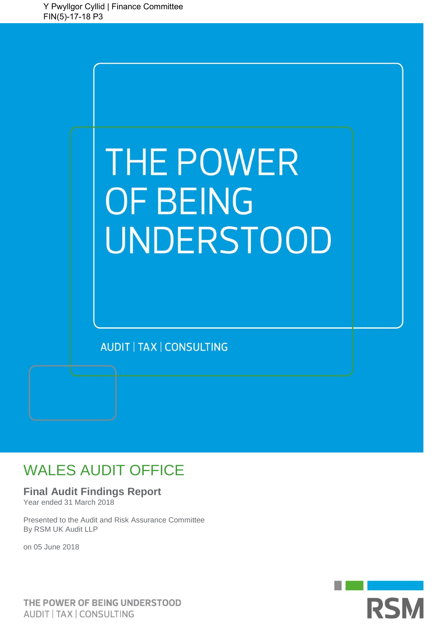

# WALES AUDIT OFFICE

### **Final Audit Findings Report**

Year ended 31 March 2018

Presented to the Audit and Risk Assurance Committee By RSM UK Audit LLP

on 05 June 2018

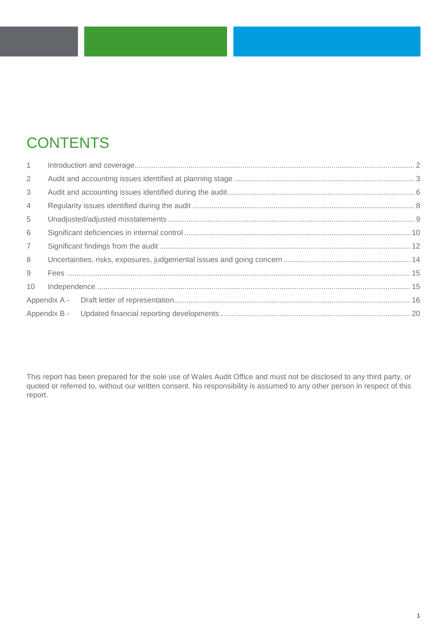# **CONTENTS**

| 1               |  |  |
|-----------------|--|--|
| $\overline{2}$  |  |  |
| 3               |  |  |
| $\overline{4}$  |  |  |
| 5               |  |  |
| 6               |  |  |
| $\overline{7}$  |  |  |
| 8               |  |  |
| 9               |  |  |
| 10 <sup>°</sup> |  |  |
|                 |  |  |
|                 |  |  |
|                 |  |  |

This report has been prepared for the sole use of Wales Audit Office and must not be disclosed to any third party, or quoted or referred to, without our written consent. No responsibility is assumed to any other person in respect of this report.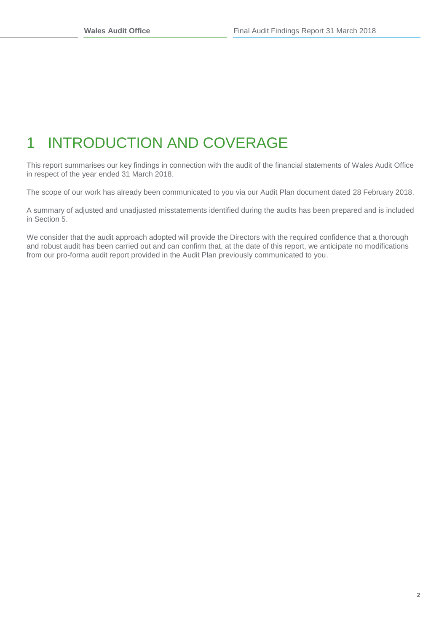# <span id="page-2-0"></span>1 INTRODUCTION AND COVERAGE

This report summarises our key findings in connection with the audit of the financial statements of Wales Audit Office in respect of the year ended 31 March 2018.

The scope of our work has already been communicated to you via our Audit Plan document dated 28 February 2018.

A summary of adjusted and unadjusted misstatements identified during the audits has been prepared and is included in Section 5.

We consider that the audit approach adopted will provide the Directors with the required confidence that a thorough and robust audit has been carried out and can confirm that, at the date of this report, we anticipate no modifications from our pro-forma audit report provided in the Audit Plan previously communicated to you.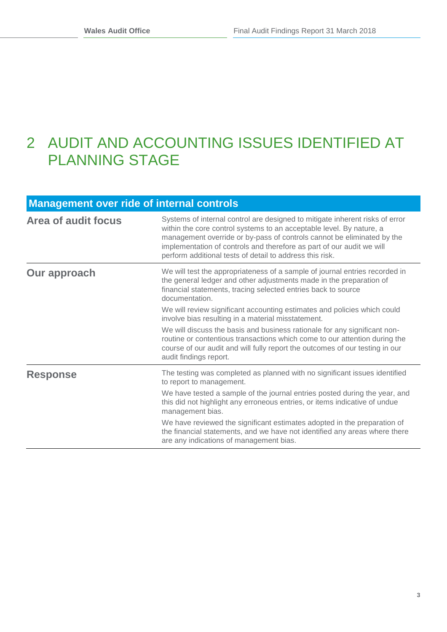## <span id="page-3-0"></span>2 AUDIT AND ACCOUNTING ISSUES IDENTIFIED AT PLANNING STAGE

### **Management over ride of internal controls**

| Area of audit focus | Systems of internal control are designed to mitigate inherent risks of error<br>within the core control systems to an acceptable level. By nature, a<br>management override or by-pass of controls cannot be eliminated by the<br>implementation of controls and therefore as part of our audit we will<br>perform additional tests of detail to address this risk. |
|---------------------|---------------------------------------------------------------------------------------------------------------------------------------------------------------------------------------------------------------------------------------------------------------------------------------------------------------------------------------------------------------------|
| Our approach        | We will test the appropriateness of a sample of journal entries recorded in<br>the general ledger and other adjustments made in the preparation of<br>financial statements, tracing selected entries back to source<br>documentation.                                                                                                                               |
|                     | We will review significant accounting estimates and policies which could<br>involve bias resulting in a material misstatement.                                                                                                                                                                                                                                      |
|                     | We will discuss the basis and business rationale for any significant non-<br>routine or contentious transactions which come to our attention during the<br>course of our audit and will fully report the outcomes of our testing in our<br>audit findings report.                                                                                                   |
| <b>Response</b>     | The testing was completed as planned with no significant issues identified<br>to report to management.                                                                                                                                                                                                                                                              |
|                     | We have tested a sample of the journal entries posted during the year, and<br>this did not highlight any erroneous entries, or items indicative of undue<br>management bias.                                                                                                                                                                                        |
|                     | We have reviewed the significant estimates adopted in the preparation of<br>the financial statements, and we have not identified any areas where there<br>are any indications of management bias.                                                                                                                                                                   |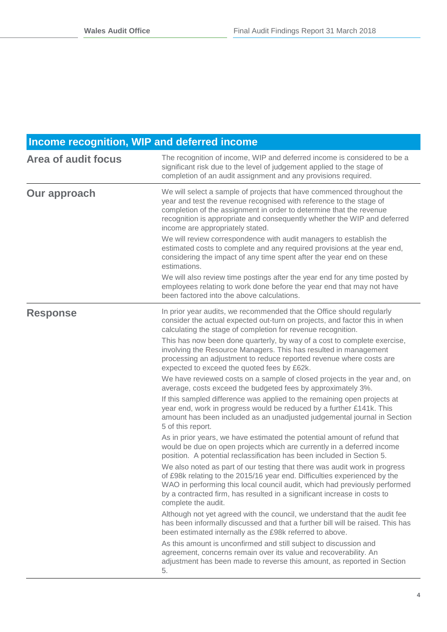### **Income recognition, WIP and deferred income**

| <b>Area of audit focus</b> | The recognition of income, WIP and deferred income is considered to be a<br>significant risk due to the level of judgement applied to the stage of<br>completion of an audit assignment and any provisions required.                                                                                                                     |
|----------------------------|------------------------------------------------------------------------------------------------------------------------------------------------------------------------------------------------------------------------------------------------------------------------------------------------------------------------------------------|
| <b>Our approach</b>        | We will select a sample of projects that have commenced throughout the<br>year and test the revenue recognised with reference to the stage of<br>completion of the assignment in order to determine that the revenue<br>recognition is appropriate and consequently whether the WIP and deferred<br>income are appropriately stated.     |
|                            | We will review correspondence with audit managers to establish the<br>estimated costs to complete and any required provisions at the year end,<br>considering the impact of any time spent after the year end on these<br>estimations.                                                                                                   |
|                            | We will also review time postings after the year end for any time posted by<br>employees relating to work done before the year end that may not have<br>been factored into the above calculations.                                                                                                                                       |
| <b>Response</b>            | In prior year audits, we recommended that the Office should regularly<br>consider the actual expected out-turn on projects, and factor this in when<br>calculating the stage of completion for revenue recognition.                                                                                                                      |
|                            | This has now been done quarterly, by way of a cost to complete exercise,<br>involving the Resource Managers. This has resulted in management<br>processing an adjustment to reduce reported revenue where costs are<br>expected to exceed the quoted fees by £62k.                                                                       |
|                            | We have reviewed costs on a sample of closed projects in the year and, on<br>average, costs exceed the budgeted fees by approximately 3%.                                                                                                                                                                                                |
|                            | If this sampled difference was applied to the remaining open projects at<br>year end, work in progress would be reduced by a further £141k. This<br>amount has been included as an unadjusted judgemental journal in Section<br>5 of this report.                                                                                        |
|                            | As in prior years, we have estimated the potential amount of refund that<br>would be due on open projects which are currently in a deferred income<br>position. A potential reclassification has been included in Section 5.                                                                                                             |
|                            | We also noted as part of our testing that there was audit work in progress<br>of £98k relating to the 2015/16 year end. Difficulties experienced by the<br>WAO in performing this local council audit, which had previously performed<br>by a contracted firm, has resulted in a significant increase in costs to<br>complete the audit. |
|                            | Although not yet agreed with the council, we understand that the audit fee<br>has been informally discussed and that a further bill will be raised. This has<br>been estimated internally as the £98k referred to above.                                                                                                                 |
|                            | As this amount is unconfirmed and still subject to discussion and<br>agreement, concerns remain over its value and recoverability. An<br>adjustment has been made to reverse this amount, as reported in Section<br>5.                                                                                                                   |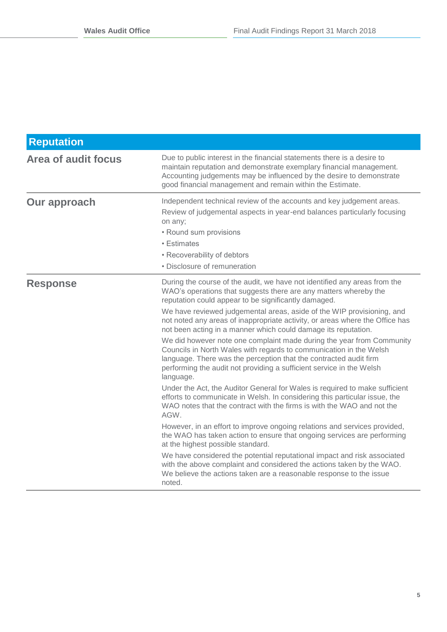| <b>Reputation</b>   |                                                                                                                                                                                                                                                                                                                                                                                                                                                                                                                                                                                                                                                                                                                                                                                                                                                                                                                                                                                                                                                                                                                                                                                                                                                                                                                                                                                                                              |
|---------------------|------------------------------------------------------------------------------------------------------------------------------------------------------------------------------------------------------------------------------------------------------------------------------------------------------------------------------------------------------------------------------------------------------------------------------------------------------------------------------------------------------------------------------------------------------------------------------------------------------------------------------------------------------------------------------------------------------------------------------------------------------------------------------------------------------------------------------------------------------------------------------------------------------------------------------------------------------------------------------------------------------------------------------------------------------------------------------------------------------------------------------------------------------------------------------------------------------------------------------------------------------------------------------------------------------------------------------------------------------------------------------------------------------------------------------|
| Area of audit focus | Due to public interest in the financial statements there is a desire to<br>maintain reputation and demonstrate exemplary financial management.<br>Accounting judgements may be influenced by the desire to demonstrate<br>good financial management and remain within the Estimate.                                                                                                                                                                                                                                                                                                                                                                                                                                                                                                                                                                                                                                                                                                                                                                                                                                                                                                                                                                                                                                                                                                                                          |
| <b>Our approach</b> | Independent technical review of the accounts and key judgement areas.<br>Review of judgemental aspects in year-end balances particularly focusing<br>on any;<br>• Round sum provisions<br>• Estimates<br>• Recoverability of debtors<br>• Disclosure of remuneration                                                                                                                                                                                                                                                                                                                                                                                                                                                                                                                                                                                                                                                                                                                                                                                                                                                                                                                                                                                                                                                                                                                                                         |
| <b>Response</b>     | During the course of the audit, we have not identified any areas from the<br>WAO's operations that suggests there are any matters whereby the<br>reputation could appear to be significantly damaged.<br>We have reviewed judgemental areas, aside of the WIP provisioning, and<br>not noted any areas of inappropriate activity, or areas where the Office has<br>not been acting in a manner which could damage its reputation.<br>We did however note one complaint made during the year from Community<br>Councils in North Wales with regards to communication in the Welsh<br>language. There was the perception that the contracted audit firm<br>performing the audit not providing a sufficient service in the Welsh<br>language.<br>Under the Act, the Auditor General for Wales is required to make sufficient<br>efforts to communicate in Welsh. In considering this particular issue, the<br>WAO notes that the contract with the firms is with the WAO and not the<br>AGW.<br>However, in an effort to improve ongoing relations and services provided,<br>the WAO has taken action to ensure that ongoing services are performing<br>at the highest possible standard.<br>We have considered the potential reputational impact and risk associated<br>with the above complaint and considered the actions taken by the WAO.<br>We believe the actions taken are a reasonable response to the issue<br>noted. |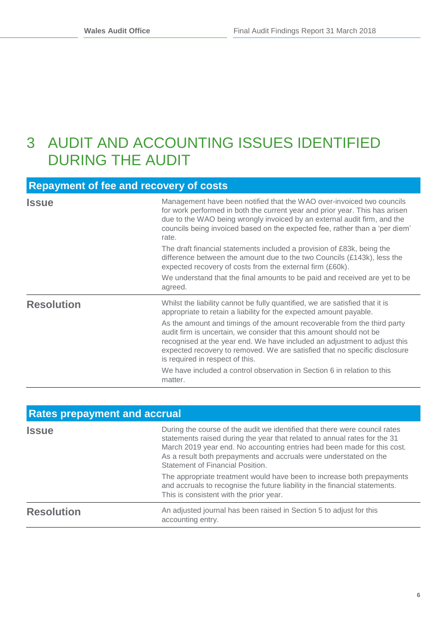### <span id="page-6-0"></span>3 AUDIT AND ACCOUNTING ISSUES IDENTIFIED DURING THE AUDIT

### **Repayment of fee and recovery of costs**

| <b>Issue</b>      | Management have been notified that the WAO over-invoiced two councils<br>for work performed in both the current year and prior year. This has arisen<br>due to the WAO being wrongly invoiced by an external audit firm, and the<br>councils being invoiced based on the expected fee, rather than a 'per diem'<br>rate.<br>The draft financial statements included a provision of £83k, being the<br>difference between the amount due to the two Councils (£143k), less the<br>expected recovery of costs from the external firm (£60k).<br>We understand that the final amounts to be paid and received are yet to be<br>agreed. |
|-------------------|-------------------------------------------------------------------------------------------------------------------------------------------------------------------------------------------------------------------------------------------------------------------------------------------------------------------------------------------------------------------------------------------------------------------------------------------------------------------------------------------------------------------------------------------------------------------------------------------------------------------------------------|
| <b>Resolution</b> | Whilst the liability cannot be fully quantified, we are satisfied that it is<br>appropriate to retain a liability for the expected amount payable.<br>As the amount and timings of the amount recoverable from the third party<br>audit firm is uncertain, we consider that this amount should not be<br>recognised at the year end. We have included an adjustment to adjust this<br>expected recovery to removed. We are satisfied that no specific disclosure<br>is required in respect of this.<br>We have included a control observation in Section 6 in relation to this<br>matter.                                           |

| <b>Rates prepayment and accrual</b> |                                                                                                                                                                                                                                                                                                                                             |  |  |
|-------------------------------------|---------------------------------------------------------------------------------------------------------------------------------------------------------------------------------------------------------------------------------------------------------------------------------------------------------------------------------------------|--|--|
| <b>Issue</b>                        | During the course of the audit we identified that there were council rates<br>statements raised during the year that related to annual rates for the 31<br>March 2019 year end. No accounting entries had been made for this cost.<br>As a result both prepayments and accruals were understated on the<br>Statement of Financial Position. |  |  |
|                                     | The appropriate treatment would have been to increase both prepayments<br>and accruals to recognise the future liability in the financial statements.<br>This is consistent with the prior year.                                                                                                                                            |  |  |
| <b>Resolution</b>                   | An adjusted journal has been raised in Section 5 to adjust for this<br>accounting entry.                                                                                                                                                                                                                                                    |  |  |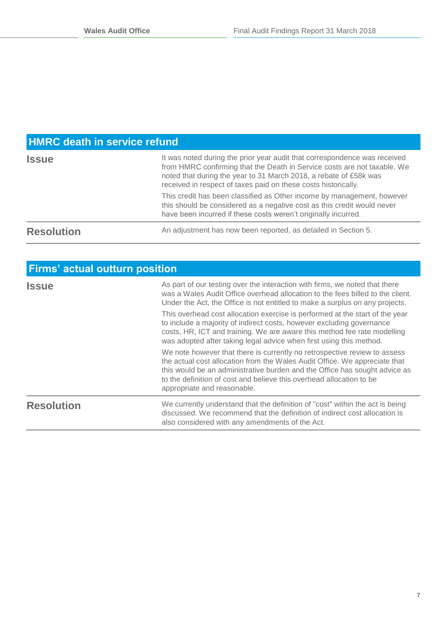### **HMRC death in service refund**

| <b>Issue</b>      | It was noted during the prior year audit that correspondence was received<br>from HMRC confirming that the Death in Service costs are not taxable. We<br>noted that during the year to 31 March 2018, a rebate of £58k was<br>received in respect of taxes paid on these costs historically. |  |  |
|-------------------|----------------------------------------------------------------------------------------------------------------------------------------------------------------------------------------------------------------------------------------------------------------------------------------------|--|--|
|                   | This credit has been classified as Other income by management, however<br>this should be considered as a negative cost as this credit would never<br>have been incurred if these costs weren't originally incurred.                                                                          |  |  |
| <b>Resolution</b> | An adjustment has now been reported, as detailed in Section 5.                                                                                                                                                                                                                               |  |  |

| <b>Firms' actual outturn position</b> |                                                                                                                                                                                                                                                                                                                                              |  |
|---------------------------------------|----------------------------------------------------------------------------------------------------------------------------------------------------------------------------------------------------------------------------------------------------------------------------------------------------------------------------------------------|--|
| <b>Issue</b>                          | As part of our testing over the interaction with firms, we noted that there<br>was a Wales Audit Office overhead allocation to the fees billed to the client.<br>Under the Act, the Office is not entitled to make a surplus on any projects.                                                                                                |  |
|                                       | This overhead cost allocation exercise is performed at the start of the year<br>to include a majority of indirect costs, however excluding governance<br>costs, HR, ICT and training. We are aware this method fee rate modelling<br>was adopted after taking legal advice when first using this method.                                     |  |
|                                       | We note however that there is currently no retrospective review to assess<br>the actual cost allocation from the Wales Audit Office. We appreciate that<br>this would be an administrative burden and the Office has sought advice as<br>to the definition of cost and believe this overhead allocation to be<br>appropriate and reasonable. |  |
| <b>Resolution</b>                     | We currently understand that the definition of "cost" within the act is being<br>discussed. We recommend that the definition of indirect cost allocation is<br>also considered with any amendments of the Act.                                                                                                                               |  |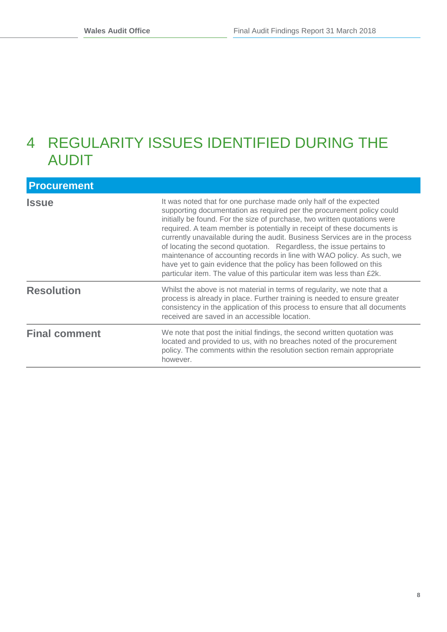## <span id="page-8-0"></span>4 REGULARITY ISSUES IDENTIFIED DURING THE AUDIT

| <b>Procurement</b>   |                                                                                                                                                                                                                                                                                                                                                                                                                                                                                                                                                                                                                                                                                     |
|----------------------|-------------------------------------------------------------------------------------------------------------------------------------------------------------------------------------------------------------------------------------------------------------------------------------------------------------------------------------------------------------------------------------------------------------------------------------------------------------------------------------------------------------------------------------------------------------------------------------------------------------------------------------------------------------------------------------|
| <b>Issue</b>         | It was noted that for one purchase made only half of the expected<br>supporting documentation as required per the procurement policy could<br>initially be found. For the size of purchase, two written quotations were<br>required. A team member is potentially in receipt of these documents is<br>currently unavailable during the audit. Business Services are in the process<br>of locating the second quotation. Regardless, the issue pertains to<br>maintenance of accounting records in line with WAO policy. As such, we<br>have yet to gain evidence that the policy has been followed on this<br>particular item. The value of this particular item was less than £2k. |
| <b>Resolution</b>    | Whilst the above is not material in terms of regularity, we note that a<br>process is already in place. Further training is needed to ensure greater<br>consistency in the application of this process to ensure that all documents<br>received are saved in an accessible location.                                                                                                                                                                                                                                                                                                                                                                                                |
| <b>Final comment</b> | We note that post the initial findings, the second written quotation was<br>located and provided to us, with no breaches noted of the procurement<br>policy. The comments within the resolution section remain appropriate<br>however.                                                                                                                                                                                                                                                                                                                                                                                                                                              |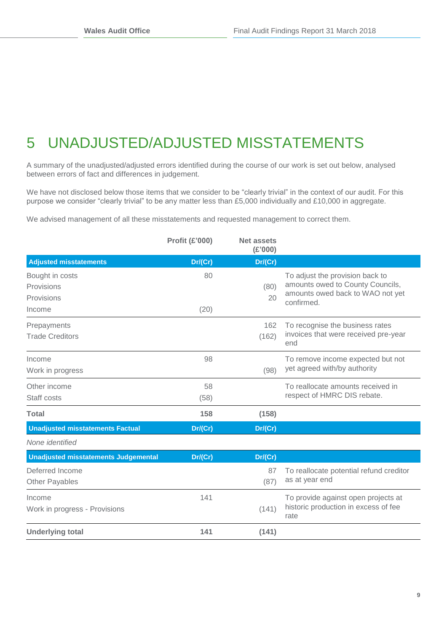# <span id="page-9-0"></span>5 UNADJUSTED/ADJUSTED MISSTATEMENTS

A summary of the unadjusted/adjusted errors identified during the course of our work is set out below, analysed between errors of fact and differences in judgement.

We have not disclosed below those items that we consider to be "clearly trivial" in the context of our audit. For this purpose we consider "clearly trivial" to be any matter less than £5,000 individually and £10,000 in aggregate.

We advised management of all these misstatements and requested management to correct them.

| <b>Adjusted misstatements</b><br>Dr/(Cr)<br>Dr/(Cr)<br>80<br>To adjust the provision back to<br>amounts owed to County Councils,<br>(80)<br>amounts owed back to WAO not yet<br>20<br>confirmed.<br>(20)<br>162<br>To recognise the business rates<br>invoices that were received pre-year<br><b>Trade Creditors</b><br>(162)<br>end<br>98<br>To remove income expected but not<br>yet agreed with/by authority<br>(98)<br>58<br>To reallocate amounts received in<br>respect of HMRC DIS rebate.<br>(58)<br>158<br>(158)<br><b>Unadjusted misstatements Factual</b><br>Dr/(Cr)<br>Dr/(Cr)<br>None identified<br><b>Unadjusted misstatements Judgemental</b><br>Dr/(Cr)<br>Dr/(Cr)<br>To reallocate potential refund creditor<br>87<br>as at year end<br>(87)<br>141<br>To provide against open projects at<br>historic production in excess of fee<br>(141)<br>rate<br>141<br>(141) |                                             | <b>Profit (£'000)</b> | <b>Net assets</b><br>(E'000) |  |
|--------------------------------------------------------------------------------------------------------------------------------------------------------------------------------------------------------------------------------------------------------------------------------------------------------------------------------------------------------------------------------------------------------------------------------------------------------------------------------------------------------------------------------------------------------------------------------------------------------------------------------------------------------------------------------------------------------------------------------------------------------------------------------------------------------------------------------------------------------------------------------------|---------------------------------------------|-----------------------|------------------------------|--|
|                                                                                                                                                                                                                                                                                                                                                                                                                                                                                                                                                                                                                                                                                                                                                                                                                                                                                      |                                             |                       |                              |  |
|                                                                                                                                                                                                                                                                                                                                                                                                                                                                                                                                                                                                                                                                                                                                                                                                                                                                                      | Bought in costs<br>Provisions<br>Provisions |                       |                              |  |
|                                                                                                                                                                                                                                                                                                                                                                                                                                                                                                                                                                                                                                                                                                                                                                                                                                                                                      | Income                                      |                       |                              |  |
|                                                                                                                                                                                                                                                                                                                                                                                                                                                                                                                                                                                                                                                                                                                                                                                                                                                                                      | Prepayments                                 |                       |                              |  |
|                                                                                                                                                                                                                                                                                                                                                                                                                                                                                                                                                                                                                                                                                                                                                                                                                                                                                      | Income<br>Work in progress                  |                       |                              |  |
|                                                                                                                                                                                                                                                                                                                                                                                                                                                                                                                                                                                                                                                                                                                                                                                                                                                                                      | Other income<br>Staff costs                 |                       |                              |  |
|                                                                                                                                                                                                                                                                                                                                                                                                                                                                                                                                                                                                                                                                                                                                                                                                                                                                                      | <b>Total</b>                                |                       |                              |  |
|                                                                                                                                                                                                                                                                                                                                                                                                                                                                                                                                                                                                                                                                                                                                                                                                                                                                                      |                                             |                       |                              |  |
|                                                                                                                                                                                                                                                                                                                                                                                                                                                                                                                                                                                                                                                                                                                                                                                                                                                                                      |                                             |                       |                              |  |
|                                                                                                                                                                                                                                                                                                                                                                                                                                                                                                                                                                                                                                                                                                                                                                                                                                                                                      |                                             |                       |                              |  |
|                                                                                                                                                                                                                                                                                                                                                                                                                                                                                                                                                                                                                                                                                                                                                                                                                                                                                      | Deferred Income<br><b>Other Payables</b>    |                       |                              |  |
|                                                                                                                                                                                                                                                                                                                                                                                                                                                                                                                                                                                                                                                                                                                                                                                                                                                                                      | Income<br>Work in progress - Provisions     |                       |                              |  |
|                                                                                                                                                                                                                                                                                                                                                                                                                                                                                                                                                                                                                                                                                                                                                                                                                                                                                      | <b>Underlying total</b>                     |                       |                              |  |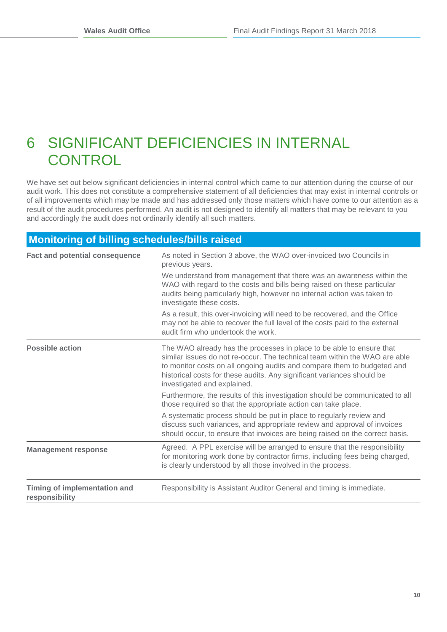## <span id="page-10-0"></span>6 SIGNIFICANT DEFICIENCIES IN INTERNAL **CONTROL**

We have set out below significant deficiencies in internal control which came to our attention during the course of our audit work. This does not constitute a comprehensive statement of all deficiencies that may exist in internal controls or of all improvements which may be made and has addressed only those matters which have come to our attention as a result of the audit procedures performed. An audit is not designed to identify all matters that may be relevant to you and accordingly the audit does not ordinarily identify all such matters.

### **Monitoring of billing schedules/bills raised**

| <b>Fact and potential consequence</b>          | As noted in Section 3 above, the WAO over-invoiced two Councils in<br>previous years.                                                                                                                                                                                                                                                  |  |  |
|------------------------------------------------|----------------------------------------------------------------------------------------------------------------------------------------------------------------------------------------------------------------------------------------------------------------------------------------------------------------------------------------|--|--|
|                                                | We understand from management that there was an awareness within the<br>WAO with regard to the costs and bills being raised on these particular<br>audits being particularly high, however no internal action was taken to<br>investigate these costs.                                                                                 |  |  |
|                                                | As a result, this over-invoicing will need to be recovered, and the Office<br>may not be able to recover the full level of the costs paid to the external<br>audit firm who undertook the work.                                                                                                                                        |  |  |
| <b>Possible action</b>                         | The WAO already has the processes in place to be able to ensure that<br>similar issues do not re-occur. The technical team within the WAO are able<br>to monitor costs on all ongoing audits and compare them to budgeted and<br>historical costs for these audits. Any significant variances should be<br>investigated and explained. |  |  |
|                                                | Furthermore, the results of this investigation should be communicated to all<br>those required so that the appropriate action can take place.                                                                                                                                                                                          |  |  |
|                                                | A systematic process should be put in place to regularly review and<br>discuss such variances, and appropriate review and approval of invoices<br>should occur, to ensure that invoices are being raised on the correct basis.                                                                                                         |  |  |
| <b>Management response</b>                     | Agreed. A PPL exercise will be arranged to ensure that the responsibility<br>for monitoring work done by contractor firms, including fees being charged,<br>is clearly understood by all those involved in the process.                                                                                                                |  |  |
| Timing of implementation and<br>responsibility | Responsibility is Assistant Auditor General and timing is immediate.                                                                                                                                                                                                                                                                   |  |  |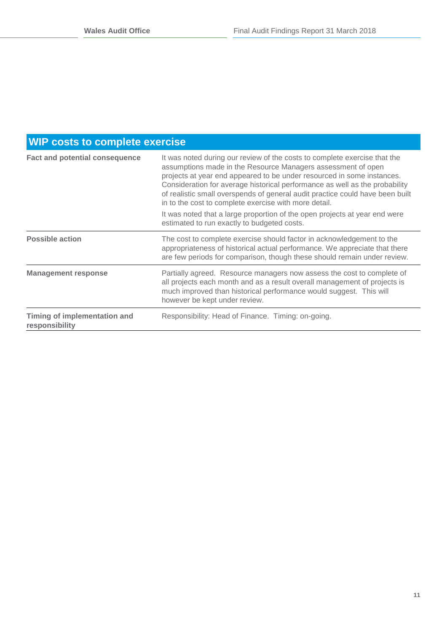### **WIP costs to complete exercise**

| <b>Fact and potential consequence</b>          | It was noted during our review of the costs to complete exercise that the<br>assumptions made in the Resource Managers assessment of open<br>projects at year end appeared to be under resourced in some instances.<br>Consideration for average historical performance as well as the probability<br>of realistic small overspends of general audit practice could have been built<br>in to the cost to complete exercise with more detail.<br>It was noted that a large proportion of the open projects at year end were<br>estimated to run exactly to budgeted costs. |
|------------------------------------------------|---------------------------------------------------------------------------------------------------------------------------------------------------------------------------------------------------------------------------------------------------------------------------------------------------------------------------------------------------------------------------------------------------------------------------------------------------------------------------------------------------------------------------------------------------------------------------|
| <b>Possible action</b>                         | The cost to complete exercise should factor in acknowledgement to the<br>appropriateness of historical actual performance. We appreciate that there<br>are few periods for comparison, though these should remain under review.                                                                                                                                                                                                                                                                                                                                           |
| <b>Management response</b>                     | Partially agreed. Resource managers now assess the cost to complete of<br>all projects each month and as a result overall management of projects is<br>much improved than historical performance would suggest. This will<br>however be kept under review.                                                                                                                                                                                                                                                                                                                |
| Timing of implementation and<br>responsibility | Responsibility: Head of Finance. Timing: on-going.                                                                                                                                                                                                                                                                                                                                                                                                                                                                                                                        |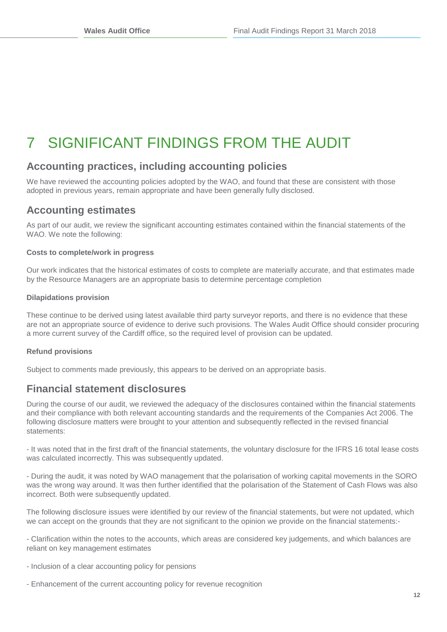## <span id="page-12-0"></span>7 SIGNIFICANT FINDINGS FROM THE AUDIT

### **Accounting practices, including accounting policies**

We have reviewed the accounting policies adopted by the WAO, and found that these are consistent with those adopted in previous years, remain appropriate and have been generally fully disclosed.

### **Accounting estimates**

As part of our audit, we review the significant accounting estimates contained within the financial statements of the WAO. We note the following:

### **Costs to complete/work in progress**

Our work indicates that the historical estimates of costs to complete are materially accurate, and that estimates made by the Resource Managers are an appropriate basis to determine percentage completion

### **Dilapidations provision**

These continue to be derived using latest available third party surveyor reports, and there is no evidence that these are not an appropriate source of evidence to derive such provisions. The Wales Audit Office should consider procuring a more current survey of the Cardiff office, so the required level of provision can be updated.

### **Refund provisions**

Subject to comments made previously, this appears to be derived on an appropriate basis.

### **Financial statement disclosures**

During the course of our audit, we reviewed the adequacy of the disclosures contained within the financial statements and their compliance with both relevant accounting standards and the requirements of the Companies Act 2006. The following disclosure matters were brought to your attention and subsequently reflected in the revised financial statements:

- It was noted that in the first draft of the financial statements, the voluntary disclosure for the IFRS 16 total lease costs was calculated incorrectly. This was subsequently updated.

- During the audit, it was noted by WAO management that the polarisation of working capital movements in the SORO was the wrong way around. It was then further identified that the polarisation of the Statement of Cash Flows was also incorrect. Both were subsequently updated.

The following disclosure issues were identified by our review of the financial statements, but were not updated, which we can accept on the grounds that they are not significant to the opinion we provide on the financial statements:-

- Clarification within the notes to the accounts, which areas are considered key judgements, and which balances are reliant on key management estimates

- Inclusion of a clear accounting policy for pensions
- Enhancement of the current accounting policy for revenue recognition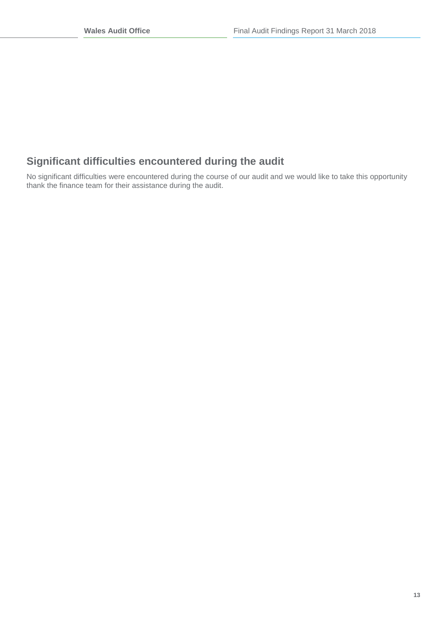### **Significant difficulties encountered during the audit**

No significant difficulties were encountered during the course of our audit and we would like to take this opportunity thank the finance team for their assistance during the audit.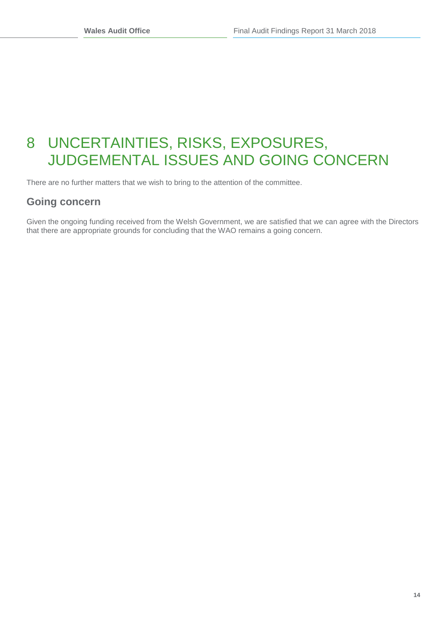## <span id="page-14-0"></span>8 UNCERTAINTIES, RISKS, EXPOSURES, JUDGEMENTAL ISSUES AND GOING CONCERN

There are no further matters that we wish to bring to the attention of the committee.

### **Going concern**

Given the ongoing funding received from the Welsh Government, we are satisfied that we can agree with the Directors that there are appropriate grounds for concluding that the WAO remains a going concern.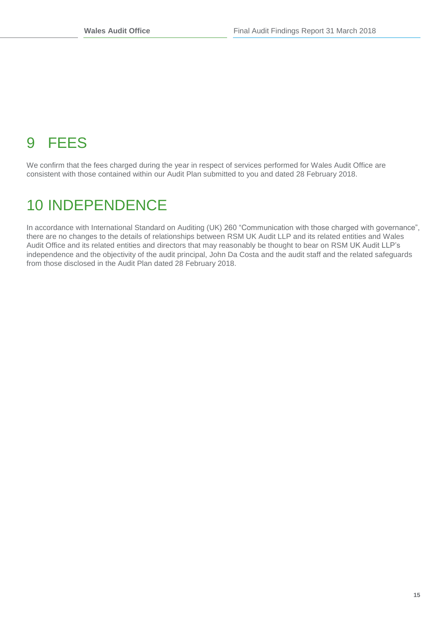# <span id="page-15-0"></span>9 FEES

We confirm that the fees charged during the year in respect of services performed for Wales Audit Office are consistent with those contained within our Audit Plan submitted to you and dated 28 February 2018.

## <span id="page-15-1"></span>10 INDEPENDENCE

In accordance with International Standard on Auditing (UK) 260 "Communication with those charged with governance", there are no changes to the details of relationships between RSM UK Audit LLP and its related entities and Wales Audit Office and its related entities and directors that may reasonably be thought to bear on RSM UK Audit LLP's independence and the objectivity of the audit principal, John Da Costa and the audit staff and the related safeguards from those disclosed in the Audit Plan dated 28 February 2018.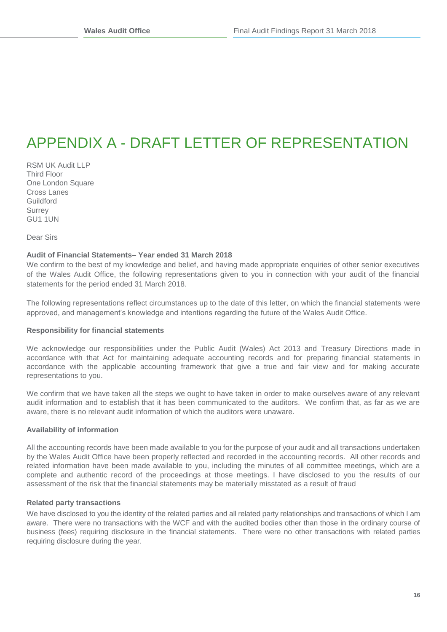## <span id="page-16-0"></span>APPENDIX A - DRAFT LETTER OF REPRESENTATION

RSM UK Audit LLP Third Floor One London Square Cross Lanes Guildford **Surrey** GU1 1UN

Dear Sirs

#### **Audit of Financial Statements– Year ended 31 March 2018**

We confirm to the best of my knowledge and belief, and having made appropriate enquiries of other senior executives of the Wales Audit Office, the following representations given to you in connection with your audit of the financial statements for the period ended 31 March 2018.

The following representations reflect circumstances up to the date of this letter, on which the financial statements were approved, and management's knowledge and intentions regarding the future of the Wales Audit Office.

#### **Responsibility for financial statements**

We acknowledge our responsibilities under the Public Audit (Wales) Act 2013 and Treasury Directions made in accordance with that Act for maintaining adequate accounting records and for preparing financial statements in accordance with the applicable accounting framework that give a true and fair view and for making accurate representations to you.

We confirm that we have taken all the steps we ought to have taken in order to make ourselves aware of any relevant audit information and to establish that it has been communicated to the auditors. We confirm that, as far as we are aware, there is no relevant audit information of which the auditors were unaware.

#### **Availability of information**

All the accounting records have been made available to you for the purpose of your audit and all transactions undertaken by the Wales Audit Office have been properly reflected and recorded in the accounting records. All other records and related information have been made available to you, including the minutes of all committee meetings, which are a complete and authentic record of the proceedings at those meetings. I have disclosed to you the results of our assessment of the risk that the financial statements may be materially misstated as a result of fraud

#### **Related party transactions**

We have disclosed to you the identity of the related parties and all related party relationships and transactions of which I am aware. There were no transactions with the WCF and with the audited bodies other than those in the ordinary course of business (fees) requiring disclosure in the financial statements. There were no other transactions with related parties requiring disclosure during the year.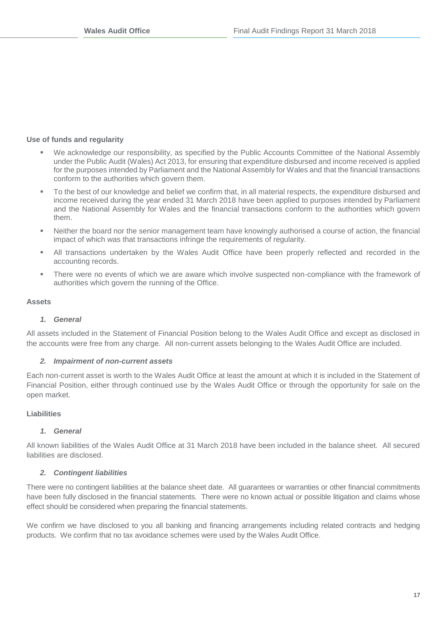### **Use of funds and regularity**

- We acknowledge our responsibility, as specified by the Public Accounts Committee of the National Assembly under the Public Audit (Wales) Act 2013, for ensuring that expenditure disbursed and income received is applied for the purposes intended by Parliament and the National Assembly for Wales and that the financial transactions conform to the authorities which govern them.
- To the best of our knowledge and belief we confirm that, in all material respects, the expenditure disbursed and income received during the year ended 31 March 2018 have been applied to purposes intended by Parliament and the National Assembly for Wales and the financial transactions conform to the authorities which govern them.
- Neither the board nor the senior management team have knowingly authorised a course of action, the financial impact of which was that transactions infringe the requirements of regularity.
- All transactions undertaken by the Wales Audit Office have been properly reflected and recorded in the accounting records.
- There were no events of which we are aware which involve suspected non-compliance with the framework of authorities which govern the running of the Office.

### **Assets**

### *1. General*

All assets included in the Statement of Financial Position belong to the Wales Audit Office and except as disclosed in the accounts were free from any charge. All non-current assets belonging to the Wales Audit Office are included.

### *2. Impairment of non-current assets*

Each non-current asset is worth to the Wales Audit Office at least the amount at which it is included in the Statement of Financial Position, either through continued use by the Wales Audit Office or through the opportunity for sale on the open market.

### **Liabilities**

### *1. General*

All known liabilities of the Wales Audit Office at 31 March 2018 have been included in the balance sheet. All secured liabilities are disclosed.

### *2. Contingent liabilities*

There were no contingent liabilities at the balance sheet date. All guarantees or warranties or other financial commitments have been fully disclosed in the financial statements. There were no known actual or possible litigation and claims whose effect should be considered when preparing the financial statements.

We confirm we have disclosed to you all banking and financing arrangements including related contracts and hedging products. We confirm that no tax avoidance schemes were used by the Wales Audit Office.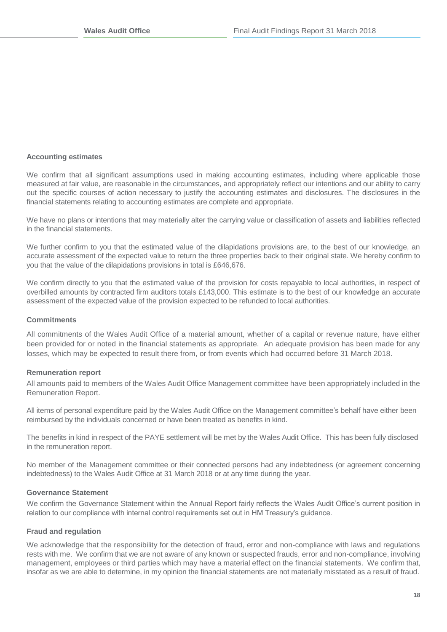#### **Accounting estimates**

We confirm that all significant assumptions used in making accounting estimates, including where applicable those measured at fair value, are reasonable in the circumstances, and appropriately reflect our intentions and our ability to carry out the specific courses of action necessary to justify the accounting estimates and disclosures. The disclosures in the financial statements relating to accounting estimates are complete and appropriate.

We have no plans or intentions that may materially alter the carrying value or classification of assets and liabilities reflected in the financial statements.

We further confirm to you that the estimated value of the dilapidations provisions are, to the best of our knowledge, an accurate assessment of the expected value to return the three properties back to their original state. We hereby confirm to you that the value of the dilapidations provisions in total is £646,676.

We confirm directly to you that the estimated value of the provision for costs repayable to local authorities, in respect of overbilled amounts by contracted firm auditors totals £143,000. This estimate is to the best of our knowledge an accurate assessment of the expected value of the provision expected to be refunded to local authorities.

#### **Commitments**

All commitments of the Wales Audit Office of a material amount, whether of a capital or revenue nature, have either been provided for or noted in the financial statements as appropriate. An adequate provision has been made for any losses, which may be expected to result there from, or from events which had occurred before 31 March 2018.

#### **Remuneration report**

All amounts paid to members of the Wales Audit Office Management committee have been appropriately included in the Remuneration Report.

All items of personal expenditure paid by the Wales Audit Office on the Management committee's behalf have either been reimbursed by the individuals concerned or have been treated as benefits in kind.

The benefits in kind in respect of the PAYE settlement will be met by the Wales Audit Office. This has been fully disclosed in the remuneration report.

No member of the Management committee or their connected persons had any indebtedness (or agreement concerning indebtedness) to the Wales Audit Office at 31 March 2018 or at any time during the year.

#### **Governance Statement**

We confirm the Governance Statement within the Annual Report fairly reflects the Wales Audit Office's current position in relation to our compliance with internal control requirements set out in HM Treasury's guidance.

#### **Fraud and regulation**

We acknowledge that the responsibility for the detection of fraud, error and non-compliance with laws and regulations rests with me. We confirm that we are not aware of any known or suspected frauds, error and non-compliance, involving management, employees or third parties which may have a material effect on the financial statements. We confirm that, insofar as we are able to determine, in my opinion the financial statements are not materially misstated as a result of fraud.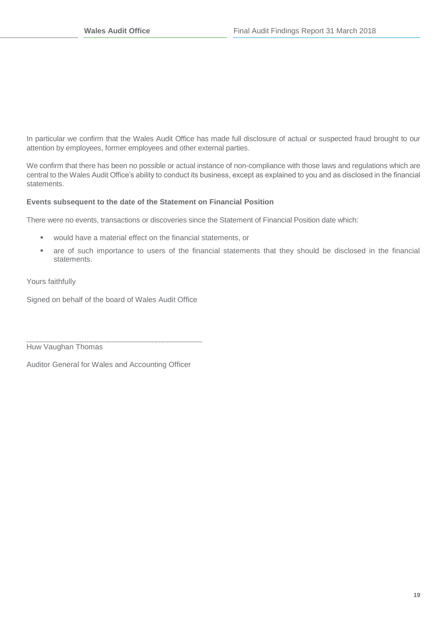In particular we confirm that the Wales Audit Office has made full disclosure of actual or suspected fraud brought to our attention by employees, former employees and other external parties.

We confirm that there has been no possible or actual instance of non-compliance with those laws and regulations which are central to the Wales Audit Office's ability to conduct its business, except as explained to you and as disclosed in the financial statements.

### **Events subsequent to the date of the Statement on Financial Position**

There were no events, transactions or discoveries since the Statement of Financial Position date which:

- would have a material effect on the financial statements, or
- are of such importance to users of the financial statements that they should be disclosed in the financial statements.

Yours faithfully

Signed on behalf of the board of Wales Audit Office

Huw Vaughan Thomas

Auditor General for Wales and Accounting Officer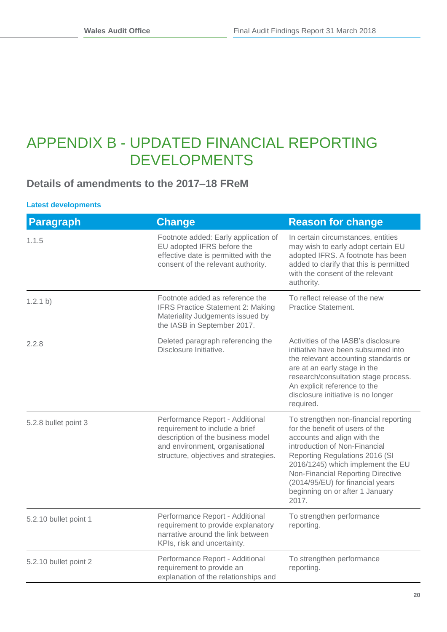### <span id="page-20-0"></span>APPENDIX B - UPDATED FINANCIAL REPORTING DEVELOPMENTS

### **Details of amendments to the 2017–18 FReM**

### **Latest developments**

| <b>Paragraph</b>      | <b>Change</b>                                                                                                                                                                      | <b>Reason for change</b>                                                                                                                                                                                                                                                                                                             |
|-----------------------|------------------------------------------------------------------------------------------------------------------------------------------------------------------------------------|--------------------------------------------------------------------------------------------------------------------------------------------------------------------------------------------------------------------------------------------------------------------------------------------------------------------------------------|
| 1.1.5                 | Footnote added: Early application of<br>EU adopted IFRS before the<br>effective date is permitted with the<br>consent of the relevant authority.                                   | In certain circumstances, entities<br>may wish to early adopt certain EU<br>adopted IFRS. A footnote has been<br>added to clarify that this is permitted<br>with the consent of the relevant<br>authority.                                                                                                                           |
| 1.2.1 b)              | Footnote added as reference the<br><b>IFRS Practice Statement 2: Making</b><br>Materiality Judgements issued by<br>the IASB in September 2017.                                     | To reflect release of the new<br>Practice Statement.                                                                                                                                                                                                                                                                                 |
| 2.2.8                 | Deleted paragraph referencing the<br>Disclosure Initiative.                                                                                                                        | Activities of the IASB's disclosure<br>initiative have been subsumed into<br>the relevant accounting standards or<br>are at an early stage in the<br>research/consultation stage process.<br>An explicit reference to the<br>disclosure initiative is no longer<br>required.                                                         |
| 5.2.8 bullet point 3  | Performance Report - Additional<br>requirement to include a brief<br>description of the business model<br>and environment, organisational<br>structure, objectives and strategies. | To strengthen non-financial reporting<br>for the benefit of users of the<br>accounts and align with the<br>introduction of Non-Financial<br>Reporting Regulations 2016 (SI<br>2016/1245) which implement the EU<br>Non-Financial Reporting Directive<br>(2014/95/EU) for financial years<br>beginning on or after 1 January<br>2017. |
| 5.2.10 bullet point 1 | Performance Report - Additional<br>requirement to provide explanatory<br>narrative around the link between<br>KPIs, risk and uncertainty.                                          | To strengthen performance<br>reporting.                                                                                                                                                                                                                                                                                              |
| 5.2.10 bullet point 2 | Performance Report - Additional<br>requirement to provide an<br>explanation of the relationships and                                                                               | To strengthen performance<br>reporting.                                                                                                                                                                                                                                                                                              |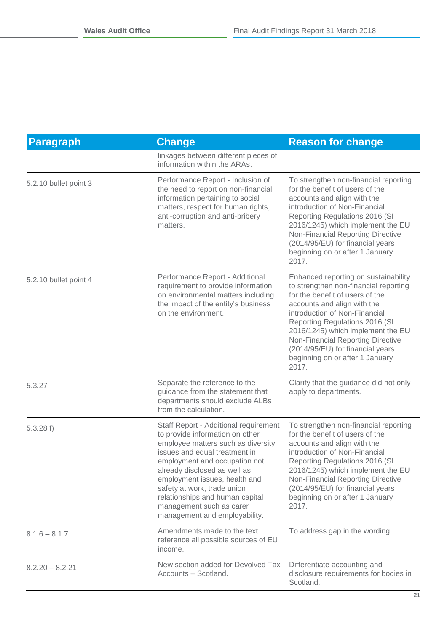| <b>Paragraph</b>      | <b>Change</b>                                                                                                                                                                                                                                                                                                                                                                    | <b>Reason for change</b>                                                                                                                                                                                                                                                                                                                                                     |
|-----------------------|----------------------------------------------------------------------------------------------------------------------------------------------------------------------------------------------------------------------------------------------------------------------------------------------------------------------------------------------------------------------------------|------------------------------------------------------------------------------------------------------------------------------------------------------------------------------------------------------------------------------------------------------------------------------------------------------------------------------------------------------------------------------|
|                       | linkages between different pieces of<br>information within the ARAs.                                                                                                                                                                                                                                                                                                             |                                                                                                                                                                                                                                                                                                                                                                              |
| 5.2.10 bullet point 3 | Performance Report - Inclusion of<br>the need to report on non-financial<br>information pertaining to social<br>matters, respect for human rights,<br>anti-corruption and anti-bribery<br>matters.                                                                                                                                                                               | To strengthen non-financial reporting<br>for the benefit of users of the<br>accounts and align with the<br>introduction of Non-Financial<br>Reporting Regulations 2016 (SI<br>2016/1245) which implement the EU<br>Non-Financial Reporting Directive<br>(2014/95/EU) for financial years<br>beginning on or after 1 January<br>2017.                                         |
| 5.2.10 bullet point 4 | Performance Report - Additional<br>requirement to provide information<br>on environmental matters including<br>the impact of the entity's business<br>on the environment.                                                                                                                                                                                                        | Enhanced reporting on sustainability<br>to strengthen non-financial reporting<br>for the benefit of users of the<br>accounts and align with the<br>introduction of Non-Financial<br>Reporting Regulations 2016 (SI<br>2016/1245) which implement the EU<br>Non-Financial Reporting Directive<br>(2014/95/EU) for financial years<br>beginning on or after 1 January<br>2017. |
| 5.3.27                | Separate the reference to the<br>guidance from the statement that<br>departments should exclude ALBs<br>from the calculation.                                                                                                                                                                                                                                                    | Clarify that the guidance did not only<br>apply to departments.                                                                                                                                                                                                                                                                                                              |
| 5.3.28 f              | Staff Report - Additional requirement<br>to provide information on other<br>employee matters such as diversity<br>issues and equal treatment in<br>employment and occupation not<br>already disclosed as well as<br>employment issues, health and<br>safety at work, trade union<br>relationships and human capital<br>management such as carer<br>management and employability. | To strengthen non-financial reporting<br>for the benefit of users of the<br>accounts and align with the<br>introduction of Non-Financial<br>Reporting Regulations 2016 (SI<br>2016/1245) which implement the EU<br>Non-Financial Reporting Directive<br>(2014/95/EU) for financial years<br>beginning on or after 1 January<br>2017.                                         |
| $8.1.6 - 8.1.7$       | Amendments made to the text<br>reference all possible sources of EU<br>income.                                                                                                                                                                                                                                                                                                   | To address gap in the wording.                                                                                                                                                                                                                                                                                                                                               |
| $8.2.20 - 8.2.21$     | New section added for Devolved Tax<br>Accounts - Scotland.                                                                                                                                                                                                                                                                                                                       | Differentiate accounting and<br>disclosure requirements for bodies in<br>Scotland.                                                                                                                                                                                                                                                                                           |